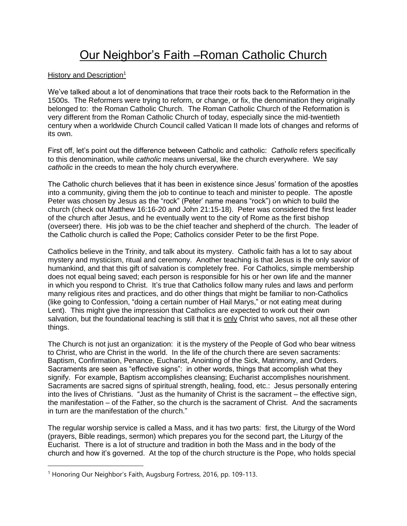# Our Neighbor's Faith –Roman Catholic Church

#### History and Description<sup>1</sup>

We've talked about a lot of denominations that trace their roots back to the Reformation in the 1500s. The Reformers were trying to reform, or change, or fix, the denomination they originally belonged to: the Roman Catholic Church. The Roman Catholic Church of the Reformation is very different from the Roman Catholic Church of today, especially since the mid-twentieth century when a worldwide Church Council called Vatican II made lots of changes and reforms of its own.

First off, let's point out the difference between Catholic and catholic: *Catholic* refers specifically to this denomination, while *catholic* means universal, like the church everywhere. We say *catholic* in the creeds to mean the holy church everywhere.

The Catholic church believes that it has been in existence since Jesus' formation of the apostles into a community, giving them the job to continue to teach and minister to people. The apostle Peter was chosen by Jesus as the "rock" (Peter' name means "rock") on which to build the church (check out Matthew 16:16-20 and John 21:15-18). Peter was considered the first leader of the church after Jesus, and he eventually went to the city of Rome as the first bishop (overseer) there. His job was to be the chief teacher and shepherd of the church. The leader of the Catholic church is called the Pope; Catholics consider Peter to be the first Pope.

Catholics believe in the Trinity, and talk about its mystery. Catholic faith has a lot to say about mystery and mysticism, ritual and ceremony. Another teaching is that Jesus is the only savior of humankind, and that this gift of salvation is completely free. For Catholics, simple membership does not equal being saved; each person is responsible for his or her own life and the manner in which you respond to Christ. It's true that Catholics follow many rules and laws and perform many religious rites and practices, and do other things that might be familiar to non-Catholics (like going to Confession, "doing a certain number of Hail Marys," or not eating meat during Lent). This might give the impression that Catholics are expected to work out their own salvation, but the foundational teaching is still that it is only Christ who saves, not all these other things.

The Church is not just an organization: it is the mystery of the People of God who bear witness to Christ, who are Christ in the world. In the life of the church there are seven sacraments: Baptism, Confirmation, Penance, Eucharist, Anointing of the Sick, Matrimony, and Orders. Sacraments are seen as "effective signs": in other words, things that accomplish what they signify. For example, Baptism accomplishes cleansing; Eucharist accomplishes nourishment. Sacraments are sacred signs of spiritual strength, healing, food, etc.: Jesus personally entering into the lives of Christians. "Just as the humanity of Christ is the sacrament – the effective sign, the manifestation – of the Father, so the church is the sacrament of Christ. And the sacraments in turn are the manifestation of the church."

The regular worship service is called a Mass, and it has two parts: first, the Liturgy of the Word (prayers, Bible readings, sermon) which prepares you for the second part, the Liturgy of the Eucharist. There is a lot of structure and tradition in both the Mass and in the body of the church and how it's governed. At the top of the church structure is the Pope, who holds special

<sup>&</sup>lt;sup>1</sup> Honoring Our Neighbor's Faith, Augsburg Fortress, 2016, pp. 109-113.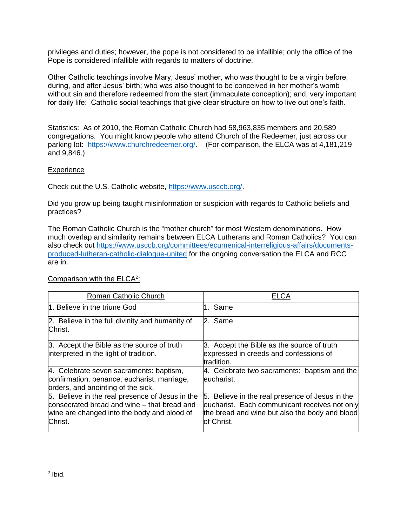privileges and duties; however, the pope is not considered to be infallible; only the office of the Pope is considered infallible with regards to matters of doctrine.

Other Catholic teachings involve Mary, Jesus' mother, who was thought to be a virgin before, during, and after Jesus' birth; who was also thought to be conceived in her mother's womb without sin and therefore redeemed from the start (immaculate conception); and, very important for daily life: Catholic social teachings that give clear structure on how to live out one's faith.

Statistics: As of 2010, the Roman Catholic Church had 58,963,835 members and 20,589 congregations. You might know people who attend Church of the Redeemer, just across our parking lot: https://www.churchredeemer.org/. (For comparison, the ELCA was at 4,181,219 and 9,846.)

### **Experience**

Check out the U.S. Catholic website, https://www.usccb.org/.

Did you grow up being taught misinformation or suspicion with regards to Catholic beliefs and practices?

The Roman Catholic Church is the "mother church" for most Western denominations. How much overlap and similarity remains between ELCA Lutherans and Roman Catholics? You can also check out https://www.usccb.org/committees/ecumenical-interreligious-affairs/documentsproduced-lutheran-catholic-dialogue-united for the ongoing conversation the ELCA and RCC are in.

| Roman Catholic Church                                                                                                                                    | ELCA                                                                                                                                                             |
|----------------------------------------------------------------------------------------------------------------------------------------------------------|------------------------------------------------------------------------------------------------------------------------------------------------------------------|
| 1. Believe in the triune God                                                                                                                             | l1. Same                                                                                                                                                         |
| 2. Believe in the full divinity and humanity of<br>Christ.                                                                                               | l2. Same                                                                                                                                                         |
| 3. Accept the Bible as the source of truth<br>interpreted in the light of tradition.                                                                     | 3. Accept the Bible as the source of truth<br>expressed in creeds and confessions of<br>tradition.                                                               |
| 4. Celebrate seven sacraments: baptism,<br>confirmation, penance, eucharist, marriage,<br>orders, and anointing of the sick.                             | 4. Celebrate two sacraments: baptism and the<br>leucharist.                                                                                                      |
| 5. Believe in the real presence of Jesus in the<br>consecrated bread and wine – that bread and<br>wine are changed into the body and blood of<br>Christ. | 5. Believe in the real presence of Jesus in the<br>eucharist. Each communicant receives not only<br>the bread and wine but also the body and blood<br>of Christ. |

## Comparison with the ELCA<sup>2</sup>: